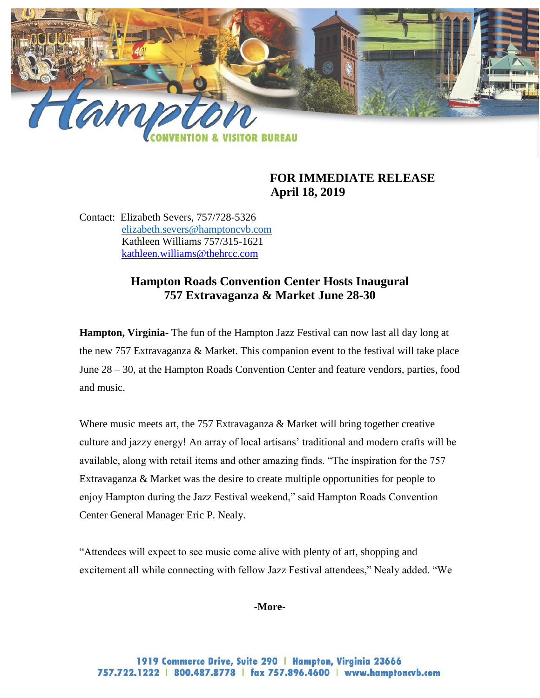

## **FOR IMMEDIATE RELEASE April 18, 2019**

Contact: Elizabeth Severs, 757/728-5326 [elizabeth.severs@hamptoncvb.com](mailto:elizabeth.severs@hamptoncvb.com) Kathleen Williams 757/315-1621 [kathleen.williams@thehrcc.com](mailto:kathleen.williams@thehrcc.com)

# **Hampton Roads Convention Center Hosts Inaugural 757 Extravaganza & Market June 28-30**

**Hampton, Virginia-** The fun of the Hampton Jazz Festival can now last all day long at the new 757 Extravaganza & Market. This companion event to the festival will take place June 28 – 30, at the Hampton Roads Convention Center and feature vendors, parties, food and music.

Where music meets art, the 757 Extravaganza & Market will bring together creative culture and jazzy energy! An array of local artisans' traditional and modern crafts will be available, along with retail items and other amazing finds. "The inspiration for the 757 Extravaganza & Market was the desire to create multiple opportunities for people to enjoy Hampton during the Jazz Festival weekend," said Hampton Roads Convention Center General Manager Eric P. Nealy.

"Attendees will expect to see music come alive with plenty of art, shopping and excitement all while connecting with fellow Jazz Festival attendees," Nealy added. "We

**-More-**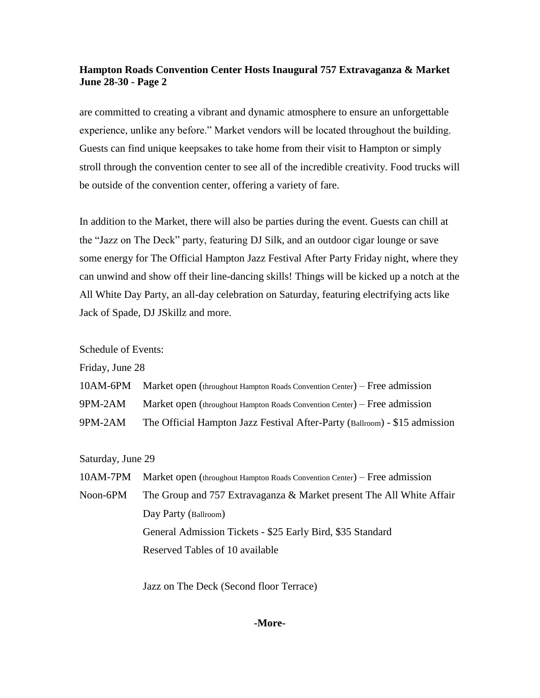### **Hampton Roads Convention Center Hosts Inaugural 757 Extravaganza & Market June 28-30 - Page 2**

are committed to creating a vibrant and dynamic atmosphere to ensure an unforgettable experience, unlike any before." Market vendors will be located throughout the building. Guests can find unique keepsakes to take home from their visit to Hampton or simply stroll through the convention center to see all of the incredible creativity. Food trucks will be outside of the convention center, offering a variety of fare.

In addition to the Market, there will also be parties during the event. Guests can chill at the "Jazz on The Deck" party, featuring DJ Silk, and an outdoor cigar lounge or save some energy for The Official Hampton Jazz Festival After Party Friday night, where they can unwind and show off their line-dancing skills! Things will be kicked up a notch at the All White Day Party, an all-day celebration on Saturday, featuring electrifying acts like Jack of Spade, DJ JSkillz and more.

Schedule of Events:

Friday, June 28

- 10AM-6PM Market open (throughout Hampton Roads Convention Center) Free admission
- 9PM-2AM Market open (throughout Hampton Roads Convention Center) Free admission
- 9PM-2AM The Official Hampton Jazz Festival After-Party (Ballroom) \$15 admission

Saturday, June 29

- 10AM-7PM Market open (throughout Hampton Roads Convention Center) Free admission
- Noon-6PM The Group and 757 Extravaganza & Market present The All White Affair Day Party (Ballroom) General Admission Tickets - \$25 Early Bird, \$35 Standard Reserved Tables of 10 available

Jazz on The Deck (Second floor Terrace)

### **-More-**